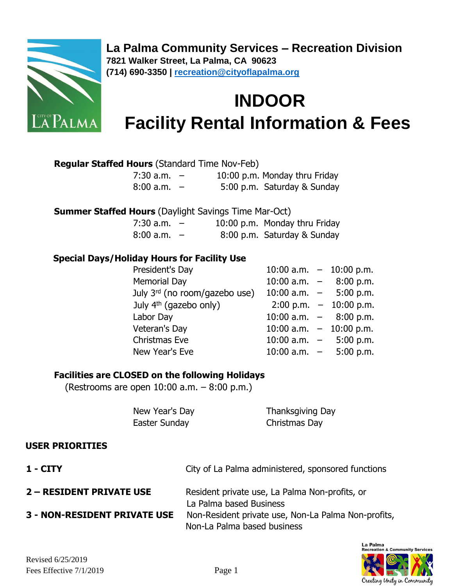

**La Palma Community Services – Recreation Division 7821 Walker Street, La Palma, CA 90623 (714) 690-3350 | [recreation@cityoflapalma.org](mailto:recreation@cityoflapalma.org)**

# **INDOOR Facility Rental Information & Fees**

#### **Regular Staffed Hours** (Standard Time Nov-Feb)

| $7:30$ a.m. $-$ |  | 10:00 p.m. Monday thru Friday |
|-----------------|--|-------------------------------|
| $8:00$ a.m. $-$ |  | 5:00 p.m. Saturday & Sunday   |

 **Summer Staffed Hours** (Daylight Savings Time Mar-Oct)

| $7:30$ a.m. $-$ |  | 10:00 p.m. Monday thru Friday |
|-----------------|--|-------------------------------|
| $8:00$ a.m. $-$ |  | 8:00 p.m. Saturday & Sunday   |

#### **Special Days/Holiday Hours for Facility Use**

| President's Day                    |                            | 10:00 a.m. $-$ 10:00 p.m.                |
|------------------------------------|----------------------------|------------------------------------------|
| <b>Memorial Day</b>                |                            | 10:00 a.m. $-$ 8:00 p.m.                 |
| July $3^{rd}$ (no room/gazebo use) | $10:00$ a.m. $-$ 5:00 p.m. |                                          |
| July 4 <sup>th</sup> (gazebo only) |                            | $2:00 \text{ p.m.} - 10:00 \text{ p.m.}$ |
| Labor Day                          |                            | 10:00 a.m. $-$ 8:00 p.m.                 |
| Veteran's Day                      |                            | 10:00 a.m. $-$ 10:00 p.m.                |
| Christmas Eve                      |                            | 10:00 a.m. $-$ 5:00 p.m.                 |
| New Year's Eve                     |                            | 10:00 a.m. $-$ 5:00 p.m.                 |

#### **Facilities are CLOSED on the following Holidays**

(Restrooms are open 10:00 a.m. – 8:00 p.m.)

| New Year's Day | Thanksgiving Day |
|----------------|------------------|
| Easter Sunday  | Christmas Day    |

#### **USER PRIORITIES**

| $1 - CITY$                          | City of La Palma administered, sponsored functions                                 |
|-------------------------------------|------------------------------------------------------------------------------------|
| <b>2 – RESIDENT PRIVATE USE</b>     | Resident private use, La Palma Non-profits, or<br>La Palma based Business          |
| <b>3 - NON-RESIDENT PRIVATE USE</b> | Non-Resident private use, Non-La Palma Non-profits,<br>Non-La Palma based business |

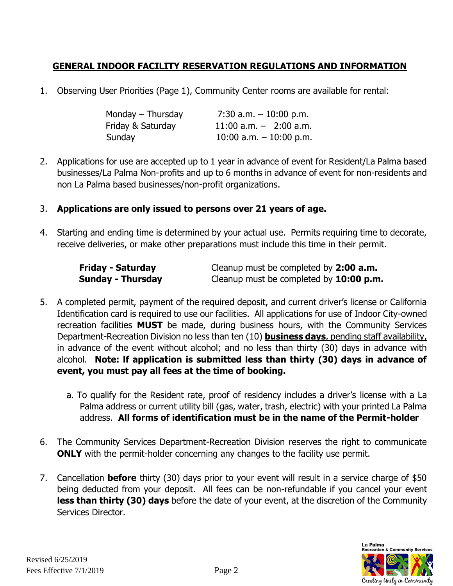# **GENERAL INDOOR FACILITY RESERVATION REGULATIONS AND INFORMATION**

1. Observing User Priorities (Page 1), Community Center rooms are available for rental:

| Monday – Thursday | 7:30 a.m. $-10:00$ p.m.    |
|-------------------|----------------------------|
| Friday & Saturday | $11:00$ a.m. $-$ 2:00 a.m. |
| Sunday            | 10:00 a.m. $-$ 10:00 p.m.  |

2. Applications for use are accepted up to 1 year in advance of event for Resident/La Palma based businesses/La Palma Non-profits and up to 6 months in advance of event for non-residents and non La Palma based businesses/non-profit organizations.

#### 3. **Applications are only issued to persons over 21 years of age.**

4. Starting and ending time is determined by your actual use. Permits requiring time to decorate, receive deliveries, or make other preparations must include this time in their permit.

| <b>Friday - Saturday</b> | Cleanup must be completed by 2:00 a.m.    |
|--------------------------|-------------------------------------------|
| <b>Sunday - Thursday</b> | Cleanup must be completed by $10:00$ p.m. |

- 5. A completed permit, payment of the required deposit, and current driver's license or California Identification card is required to use our facilities. All applications for use of Indoor City-owned recreation facilities **MUST** be made, during business hours, with the Community Services Department-Recreation Division no less than ten (10) **business days**, pending staff availability, in advance of the event without alcohol; and no less than thirty (30) days in advance with alcohol. **Note: lf application is submitted less than thirty (30) days in advance of event, you must pay all fees at the time of booking.** 
	- a. To qualify for the Resident rate, proof of residency includes a driver's license with a La Palma address or current utility bill (gas, water, trash, electric) with your printed La Palma address. **All forms of identification must be in the name of the Permit-holder**
- 6. The Community Services Department-Recreation Division reserves the right to communicate **ONLY** with the permit-holder concerning any changes to the facility use permit.
- 7. Cancellation **before** thirty (30) days prior to your event will result in a service charge of \$50 being deducted from your deposit. All fees can be non-refundable if you cancel your event **less than thirty (30) days** before the date of your event, at the discretion of the Community Services Director.

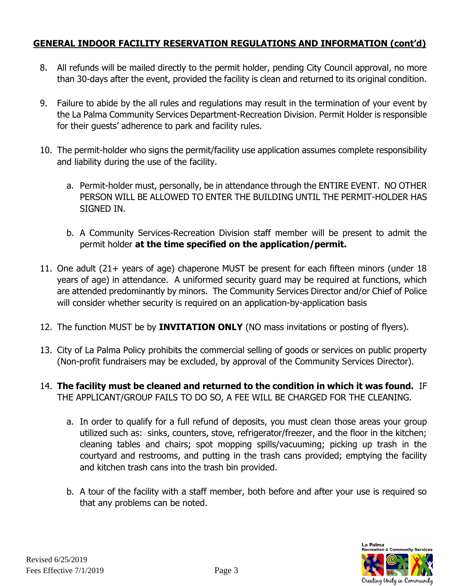#### **GENERAL INDOOR FACILITY RESERVATION REGULATIONS AND INFORMATION (cont'd)**

- 8. All refunds will be mailed directly to the permit holder, pending City Council approval, no more than 30-days after the event, provided the facility is clean and returned to its original condition.
- 9. Failure to abide by the all rules and regulations may result in the termination of your event by the La Palma Community Services Department-Recreation Division. Permit Holder is responsible for their guests' adherence to park and facility rules.
- 10. The permit-holder who signs the permit/facility use application assumes complete responsibility and liability during the use of the facility.
	- a. Permit-holder must, personally, be in attendance through the ENTIRE EVENT. NO OTHER PERSON WILL BE ALLOWED TO ENTER THE BUILDING UNTIL THE PERMIT-HOLDER HAS SIGNED IN.
	- b. A Community Services-Recreation Division staff member will be present to admit the permit holder **at the time specified on the application/permit.**
- 11. One adult (21+ years of age) chaperone MUST be present for each fifteen minors (under 18 years of age) in attendance. A uniformed security guard may be required at functions, which are attended predominantly by minors. The Community Services Director and/or Chief of Police will consider whether security is required on an application-by-application basis
- 12. The function MUST be by **INVITATION ONLY** (NO mass invitations or posting of flyers).
- 13. City of La Palma Policy prohibits the commercial selling of goods or services on public property (Non-profit fundraisers may be excluded, by approval of the Community Services Director).
- 14. **The facility must be cleaned and returned to the condition in which it was found.** IF THE APPLICANT/GROUP FAILS TO DO SO, A FEE WILL BE CHARGED FOR THE CLEANING.
	- a. In order to qualify for a full refund of deposits, you must clean those areas your group utilized such as: sinks, counters, stove, refrigerator/freezer, and the floor in the kitchen; cleaning tables and chairs; spot mopping spills/vacuuming; picking up trash in the courtyard and restrooms, and putting in the trash cans provided; emptying the facility and kitchen trash cans into the trash bin provided.
	- b. A tour of the facility with a staff member, both before and after your use is required so that any problems can be noted.

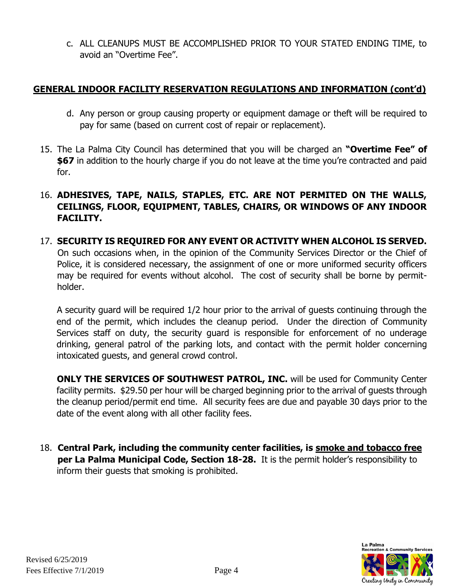c. ALL CLEANUPS MUST BE ACCOMPLISHED PRIOR TO YOUR STATED ENDING TIME, to avoid an "Overtime Fee".

#### **GENERAL INDOOR FACILITY RESERVATION REGULATIONS AND INFORMATION (cont'd)**

- d. Any person or group causing property or equipment damage or theft will be required to pay for same (based on current cost of repair or replacement).
- 15. The La Palma City Council has determined that you will be charged an **"Overtime Fee" of \$67** in addition to the hourly charge if you do not leave at the time you're contracted and paid for.
- 16. **ADHESIVES, TAPE, NAILS, STAPLES, ETC. ARE NOT PERMITED ON THE WALLS, CEILINGS, FLOOR, EQUIPMENT, TABLES, CHAIRS, OR WINDOWS OF ANY INDOOR FACILITY.**
- 17. **SECURITY IS REQUIRED FOR ANY EVENT OR ACTIVITY WHEN ALCOHOL IS SERVED.** On such occasions when, in the opinion of the Community Services Director or the Chief of Police, it is considered necessary, the assignment of one or more uniformed security officers may be required for events without alcohol. The cost of security shall be borne by permitholder.

A security guard will be required 1/2 hour prior to the arrival of guests continuing through the end of the permit, which includes the cleanup period. Under the direction of Community Services staff on duty, the security guard is responsible for enforcement of no underage drinking, general patrol of the parking lots, and contact with the permit holder concerning intoxicated guests, and general crowd control.

**ONLY THE SERVICES OF SOUTHWEST PATROL, INC.** will be used for Community Center facility permits. \$29.50 per hour will be charged beginning prior to the arrival of guests through the cleanup period/permit end time. All security fees are due and payable 30 days prior to the date of the event along with all other facility fees.

 18. **Central Park, including the community center facilities, is smoke and tobacco free per La Palma Municipal Code, Section 18-28.** It is the permit holder's responsibility to inform their guests that smoking is prohibited.

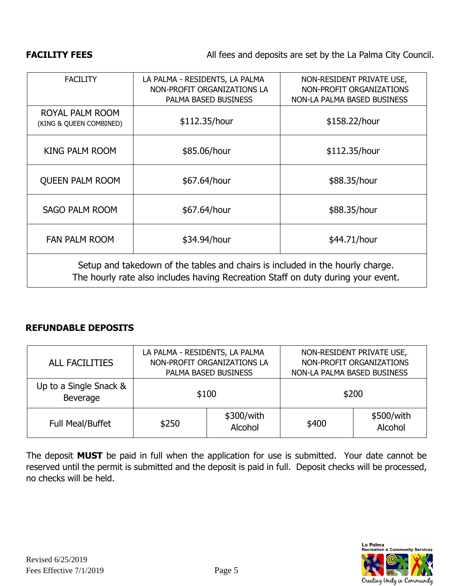#### **FACILITY FEES** All fees and deposits are set by the La Palma City Council.

| <b>FACILITY</b>                                                                                                                                                   | LA PALMA - RESIDENTS, LA PALMA<br>NON-PROFIT ORGANIZATIONS LA<br>PALMA BASED BUSINESS | NON-RESIDENT PRIVATE USE,<br>NON-PROFIT ORGANIZATIONS<br>NON-LA PALMA BASED BUSINESS |
|-------------------------------------------------------------------------------------------------------------------------------------------------------------------|---------------------------------------------------------------------------------------|--------------------------------------------------------------------------------------|
| ROYAL PALM ROOM<br>(KING & QUEEN COMBINED)                                                                                                                        | \$112.35/hour                                                                         | \$158.22/hour                                                                        |
| KING PALM ROOM                                                                                                                                                    | \$85.06/hour                                                                          | \$112.35/hour                                                                        |
| <b>QUEEN PALM ROOM</b>                                                                                                                                            | \$67.64/hour                                                                          | \$88.35/hour                                                                         |
| <b>SAGO PALM ROOM</b>                                                                                                                                             | \$67.64/hour                                                                          | \$88.35/hour                                                                         |
| <b>FAN PALM ROOM</b>                                                                                                                                              | \$34.94/hour                                                                          | \$44.71/hour                                                                         |
| Setup and takedown of the tables and chairs is included in the hourly charge.<br>The hourly rate also includes having Recreation Staff on duty during your event. |                                                                                       |                                                                                      |

#### **REFUNDABLE DEPOSITS**

| <b>ALL FACILITIES</b>              | LA PALMA - RESIDENTS, LA PALMA<br>NON-PROFIT ORGANIZATIONS LA<br>PALMA BASED BUSINESS |                       | NON-LA PALMA BASED BUSINESS | NON-RESIDENT PRIVATE USE,<br>NON-PROFIT ORGANIZATIONS |
|------------------------------------|---------------------------------------------------------------------------------------|-----------------------|-----------------------------|-------------------------------------------------------|
| Up to a Single Snack &<br>Beverage |                                                                                       | \$100                 | \$200                       |                                                       |
| <b>Full Meal/Buffet</b>            | \$250                                                                                 | \$300/with<br>Alcohol | \$400                       | \$500/with<br>Alcohol                                 |

The deposit **MUST** be paid in full when the application for use is submitted. Your date cannot be reserved until the permit is submitted and the deposit is paid in full. Deposit checks will be processed, no checks will be held.

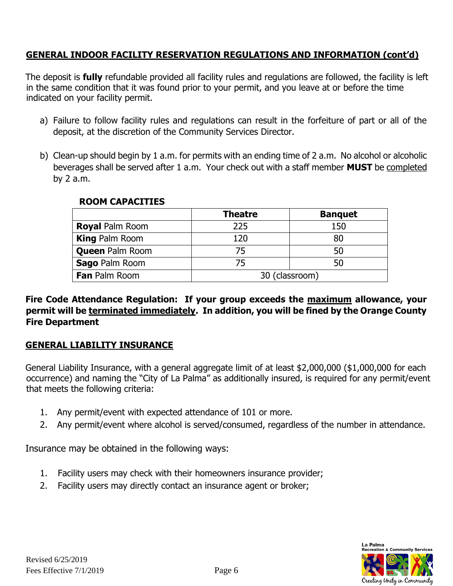#### **GENERAL INDOOR FACILITY RESERVATION REGULATIONS AND INFORMATION (cont'd)**

The deposit is **fully** refundable provided all facility rules and regulations are followed, the facility is left in the same condition that it was found prior to your permit, and you leave at or before the time indicated on your facility permit.

- a) Failure to follow facility rules and regulations can result in the forfeiture of part or all of the deposit, at the discretion of the Community Services Director.
- b) Clean-up should begin by 1 a.m. for permits with an ending time of 2 a.m. No alcohol or alcoholic beverages shall be served after 1 a.m. Your check out with a staff member **MUST** be completed by 2 a.m.

|                        | <b>Theatre</b> | <b>Banquet</b> |
|------------------------|----------------|----------------|
| <b>Royal Palm Room</b> | 225            | 150            |
| <b>King Palm Room</b>  | 120            | 80             |
| <b>Queen Palm Room</b> | 75             | 50             |
| Sago Palm Room         | 75             | 50             |
| Fan Palm Room          | 30 (classroom) |                |

#### **ROOM CAPACITIES**

**Fire Code Attendance Regulation: If your group exceeds the maximum allowance, your permit will be terminated immediately. In addition, you will be fined by the Orange County Fire Department** 

#### **GENERAL LIABILITY INSURANCE**

General Liability Insurance, with a general aggregate limit of at least \$2,000,000 (\$1,000,000 for each occurrence) and naming the "City of La Palma" as additionally insured, is required for any permit/event that meets the following criteria:

- 1. Any permit/event with expected attendance of 101 or more.
- 2. Any permit/event where alcohol is served/consumed, regardless of the number in attendance.

Insurance may be obtained in the following ways:

- 1. Facility users may check with their homeowners insurance provider;
- 2. Facility users may directly contact an insurance agent or broker;

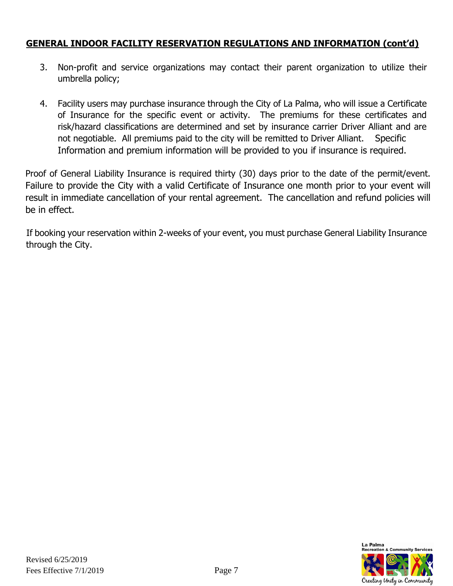#### **GENERAL INDOOR FACILITY RESERVATION REGULATIONS AND INFORMATION (cont'd)**

- 3. Non-profit and service organizations may contact their parent organization to utilize their umbrella policy;
- 4. Facility users may purchase insurance through the City of La Palma, who will issue a Certificate of Insurance for the specific event or activity. The premiums for these certificates and risk/hazard classifications are determined and set by insurance carrier Driver Alliant and are not negotiable. All premiums paid to the city will be remitted to Driver Alliant. Specific Information and premium information will be provided to you if insurance is required.

Proof of General Liability Insurance is required thirty (30) days prior to the date of the permit/event. Failure to provide the City with a valid Certificate of Insurance one month prior to your event will result in immediate cancellation of your rental agreement. The cancellation and refund policies will be in effect.

If booking your reservation within 2-weeks of your event, you must purchase General Liability Insurance through the City.